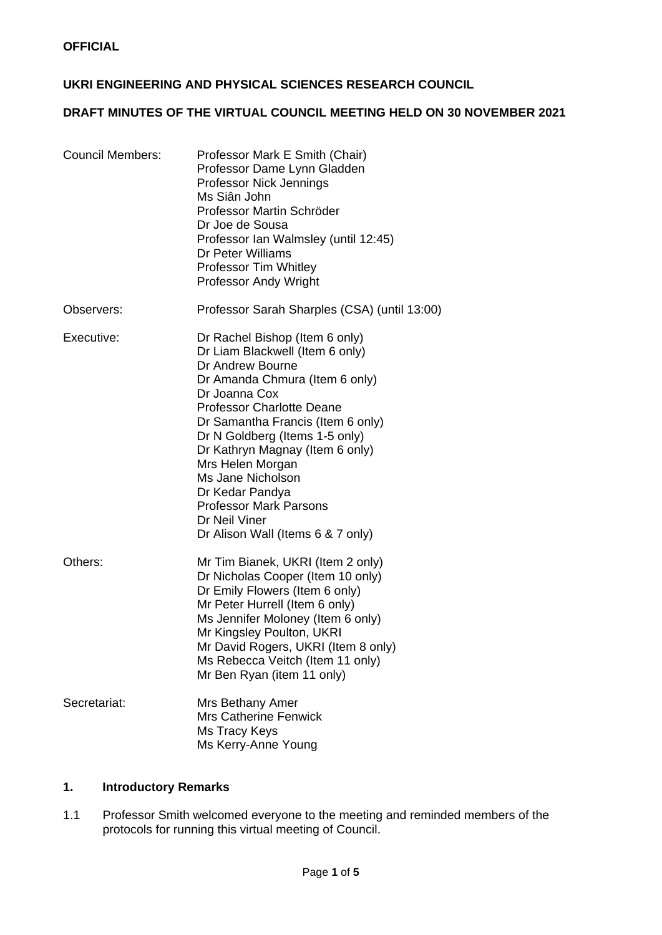## **UKRI ENGINEERING AND PHYSICAL SCIENCES RESEARCH COUNCIL**

# **DRAFT MINUTES OF THE VIRTUAL COUNCIL MEETING HELD ON 30 NOVEMBER 2021**

| <b>Council Members:</b> | Professor Mark E Smith (Chair)<br>Professor Dame Lynn Gladden<br>Professor Nick Jennings<br>Ms Siân John<br>Professor Martin Schröder<br>Dr Joe de Sousa<br>Professor Ian Walmsley (until 12:45)<br>Dr Peter Williams<br>Professor Tim Whitley<br><b>Professor Andy Wright</b>                                                                                                                                                            |
|-------------------------|-------------------------------------------------------------------------------------------------------------------------------------------------------------------------------------------------------------------------------------------------------------------------------------------------------------------------------------------------------------------------------------------------------------------------------------------|
| Observers:              | Professor Sarah Sharples (CSA) (until 13:00)                                                                                                                                                                                                                                                                                                                                                                                              |
| Executive:              | Dr Rachel Bishop (Item 6 only)<br>Dr Liam Blackwell (Item 6 only)<br>Dr Andrew Bourne<br>Dr Amanda Chmura (Item 6 only)<br>Dr Joanna Cox<br><b>Professor Charlotte Deane</b><br>Dr Samantha Francis (Item 6 only)<br>Dr N Goldberg (Items 1-5 only)<br>Dr Kathryn Magnay (Item 6 only)<br>Mrs Helen Morgan<br>Ms Jane Nicholson<br>Dr Kedar Pandya<br><b>Professor Mark Parsons</b><br>Dr Neil Viner<br>Dr Alison Wall (Items 6 & 7 only) |
| Others:                 | Mr Tim Bianek, UKRI (Item 2 only)<br>Dr Nicholas Cooper (Item 10 only)<br>Dr Emily Flowers (Item 6 only)<br>Mr Peter Hurrell (Item 6 only)<br>Ms Jennifer Moloney (Item 6 only)<br>Mr Kingsley Poulton, UKRI<br>Mr David Rogers, UKRI (Item 8 only)<br>Ms Rebecca Veitch (Item 11 only)<br>Mr Ben Ryan (item 11 only)                                                                                                                     |
| Secretariat:            | Mrs Bethany Amer<br><b>Mrs Catherine Fenwick</b><br>Ms Tracy Keys<br>Ms Kerry-Anne Young                                                                                                                                                                                                                                                                                                                                                  |

# **1. Introductory Remarks**

1.1 Professor Smith welcomed everyone to the meeting and reminded members of the protocols for running this virtual meeting of Council.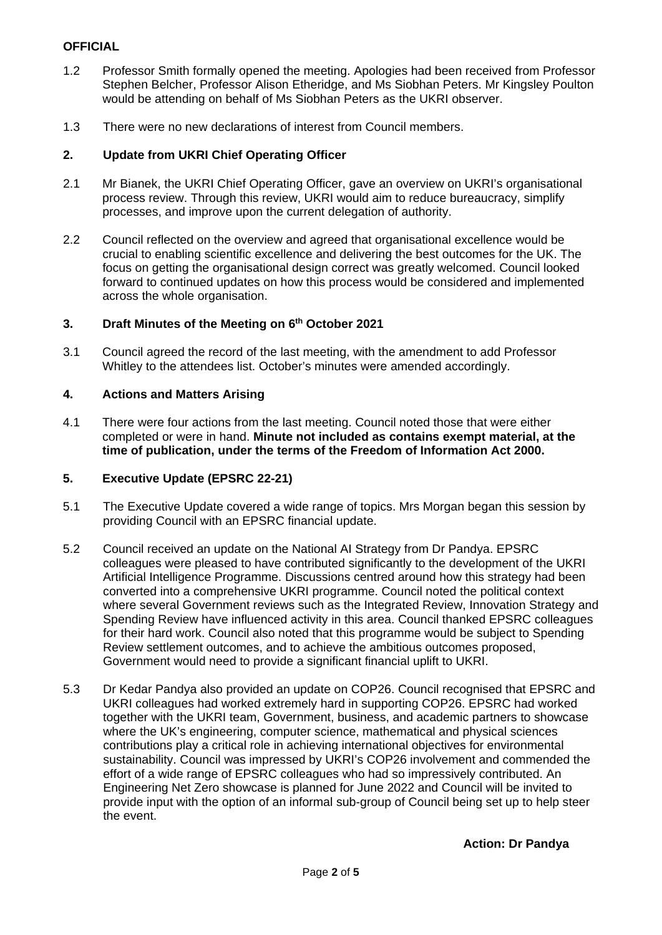# **OFFICIAL**

- 1.2 Professor Smith formally opened the meeting. Apologies had been received from Professor Stephen Belcher, Professor Alison Etheridge, and Ms Siobhan Peters. Mr Kingsley Poulton would be attending on behalf of Ms Siobhan Peters as the UKRI observer.
- 1.3 There were no new declarations of interest from Council members.

## **2. Update from UKRI Chief Operating Officer**

- 2.1 Mr Bianek, the UKRI Chief Operating Officer, gave an overview on UKRI's organisational process review. Through this review, UKRI would aim to reduce bureaucracy, simplify processes, and improve upon the current delegation of authority.
- 2.2 Council reflected on the overview and agreed that organisational excellence would be crucial to enabling scientific excellence and delivering the best outcomes for the UK. The focus on getting the organisational design correct was greatly welcomed. Council looked forward to continued updates on how this process would be considered and implemented across the whole organisation.

## **3. Draft Minutes of the Meeting on 6th October 2021**

3.1 Council agreed the record of the last meeting, with the amendment to add Professor Whitley to the attendees list. October's minutes were amended accordingly.

## **4. Actions and Matters Arising**

4.1 There were four actions from the last meeting. Council noted those that were either completed or were in hand. **Minute not included as contains exempt material, at the time of publication, under the terms of the Freedom of Information Act 2000.**

# **5. Executive Update (EPSRC 22-21)**

- 5.1 The Executive Update covered a wide range of topics. Mrs Morgan began this session by providing Council with an EPSRC financial update.
- 5.2 Council received an update on the National AI Strategy from Dr Pandya. EPSRC colleagues were pleased to have contributed significantly to the development of the UKRI Artificial Intelligence Programme. Discussions centred around how this strategy had been converted into a comprehensive UKRI programme. Council noted the political context where several Government reviews such as the Integrated Review, Innovation Strategy and Spending Review have influenced activity in this area. Council thanked EPSRC colleagues for their hard work. Council also noted that this programme would be subject to Spending Review settlement outcomes, and to achieve the ambitious outcomes proposed, Government would need to provide a significant financial uplift to UKRI.
- 5.3 Dr Kedar Pandya also provided an update on COP26. Council recognised that EPSRC and UKRI colleagues had worked extremely hard in supporting COP26. EPSRC had worked together with the UKRI team, Government, business, and academic partners to showcase where the UK's engineering, computer science, mathematical and physical sciences contributions play a critical role in achieving international objectives for environmental sustainability. Council was impressed by UKRI's COP26 involvement and commended the effort of a wide range of EPSRC colleagues who had so impressively contributed. An Engineering Net Zero showcase is planned for June 2022 and Council will be invited to provide input with the option of an informal sub-group of Council being set up to help steer the event.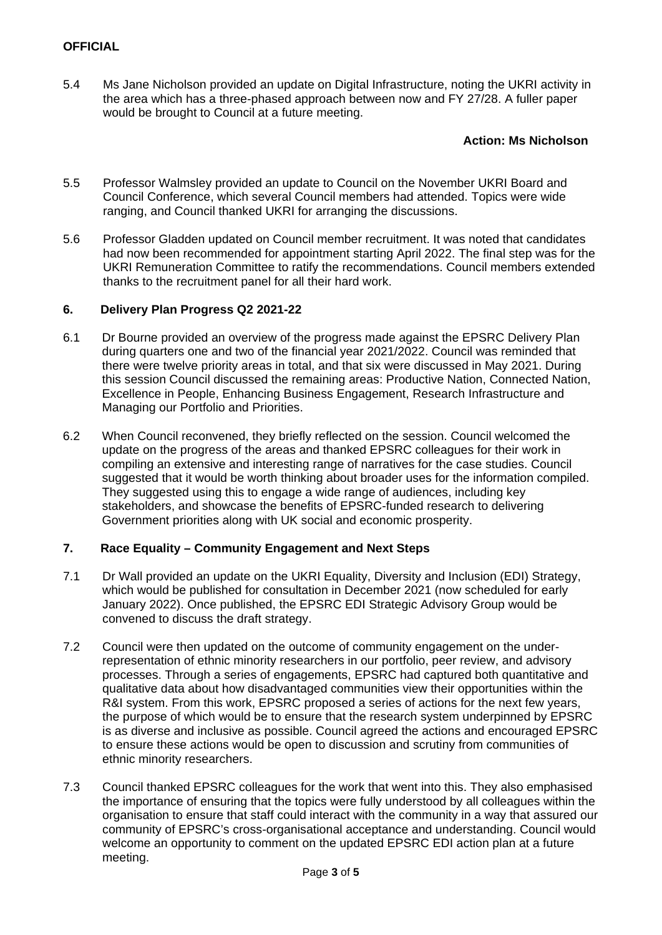5.4 Ms Jane Nicholson provided an update on Digital Infrastructure, noting the UKRI activity in the area which has a three-phased approach between now and FY 27/28. A fuller paper would be brought to Council at a future meeting.

## **Action: Ms Nicholson**

- 5.5 Professor Walmsley provided an update to Council on the November UKRI Board and Council Conference, which several Council members had attended. Topics were wide ranging, and Council thanked UKRI for arranging the discussions.
- 5.6 Professor Gladden updated on Council member recruitment. It was noted that candidates had now been recommended for appointment starting April 2022. The final step was for the UKRI Remuneration Committee to ratify the recommendations. Council members extended thanks to the recruitment panel for all their hard work.

## **6. Delivery Plan Progress Q2 2021-22**

- 6.1 Dr Bourne provided an overview of the progress made against the EPSRC Delivery Plan during quarters one and two of the financial year 2021/2022. Council was reminded that there were twelve priority areas in total, and that six were discussed in May 2021. During this session Council discussed the remaining areas: Productive Nation, Connected Nation, Excellence in People, Enhancing Business Engagement, Research Infrastructure and Managing our Portfolio and Priorities.
- 6.2 When Council reconvened, they briefly reflected on the session. Council welcomed the update on the progress of the areas and thanked EPSRC colleagues for their work in compiling an extensive and interesting range of narratives for the case studies. Council suggested that it would be worth thinking about broader uses for the information compiled. They suggested using this to engage a wide range of audiences, including key stakeholders, and showcase the benefits of EPSRC-funded research to delivering Government priorities along with UK social and economic prosperity.

## **7. Race Equality – Community Engagement and Next Steps**

- 7.1 Dr Wall provided an update on the UKRI Equality, Diversity and Inclusion (EDI) Strategy, which would be published for consultation in December 2021 (now scheduled for early January 2022). Once published, the EPSRC EDI Strategic Advisory Group would be convened to discuss the draft strategy.
- 7.2 Council were then updated on the outcome of community engagement on the underrepresentation of ethnic minority researchers in our portfolio, peer review, and advisory processes. Through a series of engagements, EPSRC had captured both quantitative and qualitative data about how disadvantaged communities view their opportunities within the R&I system. From this work, EPSRC proposed a series of actions for the next few years, the purpose of which would be to ensure that the research system underpinned by EPSRC is as diverse and inclusive as possible. Council agreed the actions and encouraged EPSRC to ensure these actions would be open to discussion and scrutiny from communities of ethnic minority researchers.
- 7.3 Council thanked EPSRC colleagues for the work that went into this. They also emphasised the importance of ensuring that the topics were fully understood by all colleagues within the organisation to ensure that staff could interact with the community in a way that assured our community of EPSRC's cross-organisational acceptance and understanding. Council would welcome an opportunity to comment on the updated EPSRC EDI action plan at a future meeting.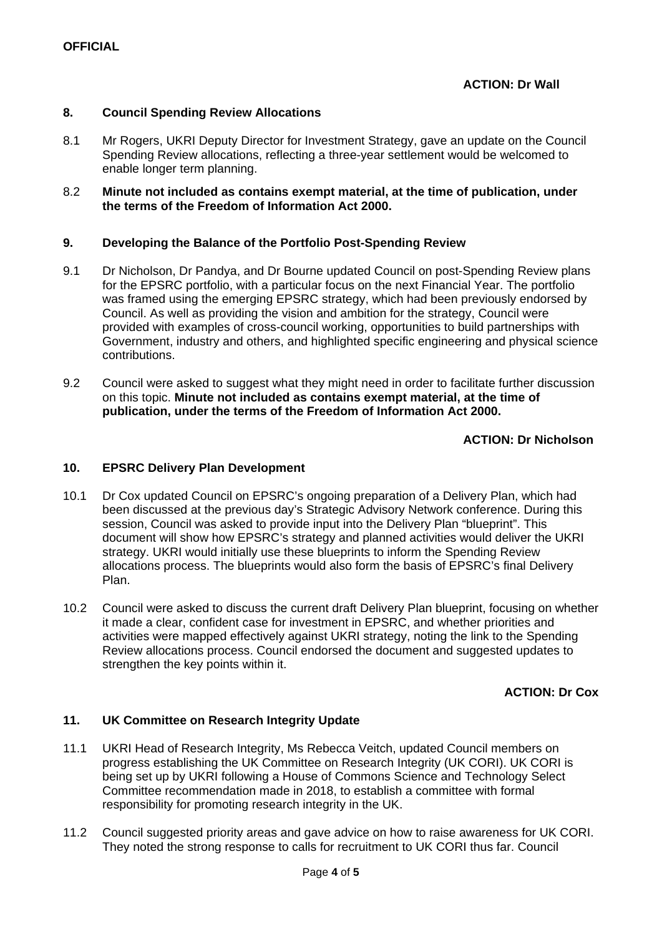#### **8. Council Spending Review Allocations**

8.1 Mr Rogers, UKRI Deputy Director for Investment Strategy, gave an update on the Council Spending Review allocations, reflecting a three-year settlement would be welcomed to enable longer term planning.

#### 8.2 **Minute not included as contains exempt material, at the time of publication, under the terms of the Freedom of Information Act 2000.**

#### **9. Developing the Balance of the Portfolio Post-Spending Review**

- 9.1 Dr Nicholson, Dr Pandya, and Dr Bourne updated Council on post-Spending Review plans for the EPSRC portfolio, with a particular focus on the next Financial Year. The portfolio was framed using the emerging EPSRC strategy, which had been previously endorsed by Council. As well as providing the vision and ambition for the strategy, Council were provided with examples of cross-council working, opportunities to build partnerships with Government, industry and others, and highlighted specific engineering and physical science contributions.
- 9.2 Council were asked to suggest what they might need in order to facilitate further discussion on this topic. **Minute not included as contains exempt material, at the time of publication, under the terms of the Freedom of Information Act 2000.**

## **ACTION: Dr Nicholson**

# **10. EPSRC Delivery Plan Development**

- 10.1 Dr Cox updated Council on EPSRC's ongoing preparation of a Delivery Plan, which had been discussed at the previous day's Strategic Advisory Network conference. During this session, Council was asked to provide input into the Delivery Plan "blueprint". This document will show how EPSRC's strategy and planned activities would deliver the UKRI strategy. UKRI would initially use these blueprints to inform the Spending Review allocations process. The blueprints would also form the basis of EPSRC's final Delivery Plan.
- 10.2 Council were asked to discuss the current draft Delivery Plan blueprint, focusing on whether it made a clear, confident case for investment in EPSRC, and whether priorities and activities were mapped effectively against UKRI strategy, noting the link to the Spending Review allocations process. Council endorsed the document and suggested updates to strengthen the key points within it.

## **ACTION: Dr Cox**

## **11. UK Committee on Research Integrity Update**

- 11.1 UKRI Head of Research Integrity, Ms Rebecca Veitch, updated Council members on progress establishing the UK Committee on Research Integrity (UK CORI). UK CORI is being set up by UKRI following a House of Commons Science and Technology Select Committee recommendation made in 2018, to establish a committee with formal responsibility for promoting research integrity in the UK.
- 11.2 Council suggested priority areas and gave advice on how to raise awareness for UK CORI. They noted the strong response to calls for recruitment to UK CORI thus far. Council